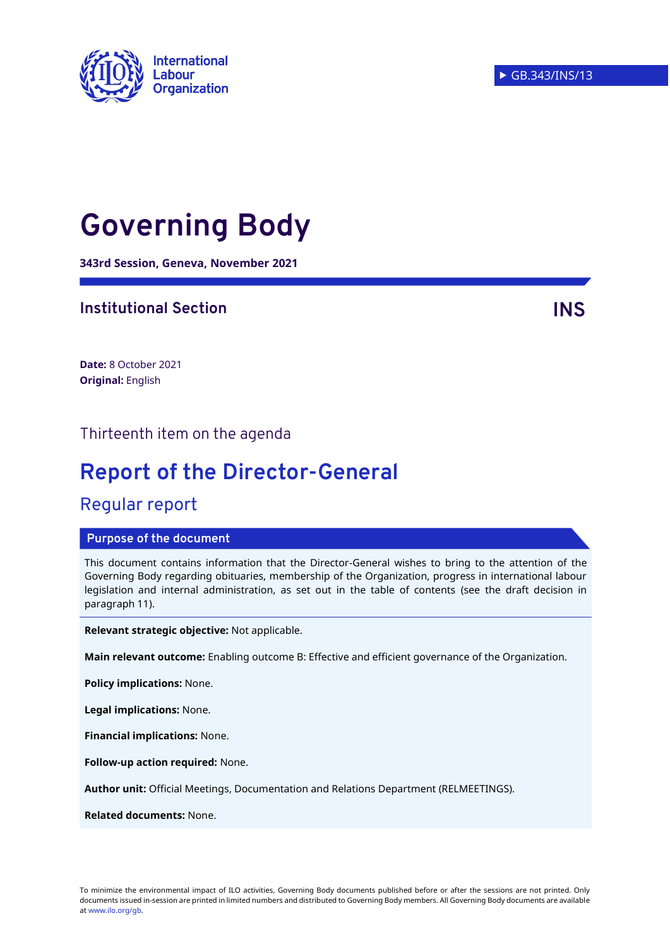

# **Governing Body**

**343rd Session, Geneva, November 2021**

### **Institutional Section INS**

**Date:** 8 October 2021 **Original:** English

### Thirteenth item on the agenda

# **Report of the Director-General**

### Regular report

#### **Purpose of the document**

This document contains information that the Director-General wishes to bring to the attention of the Governing Body regarding obituaries, membership of the Organization, progress in international labour legislation and internal administration, as set out in the table of contents (see the draft decision in paragraph 11).

**Relevant strategic objective:** Not applicable.

**Main relevant outcome:** Enabling outcome B: Effective and efficient governance of the Organization.

**Policy implications:** None.

**Legal implications:** None.

**Financial implications:** None.

**Follow-up action required:** None.

**Author unit:** Official Meetings, Documentation and Relations Department (RELMEETINGS).

**Related documents:** None.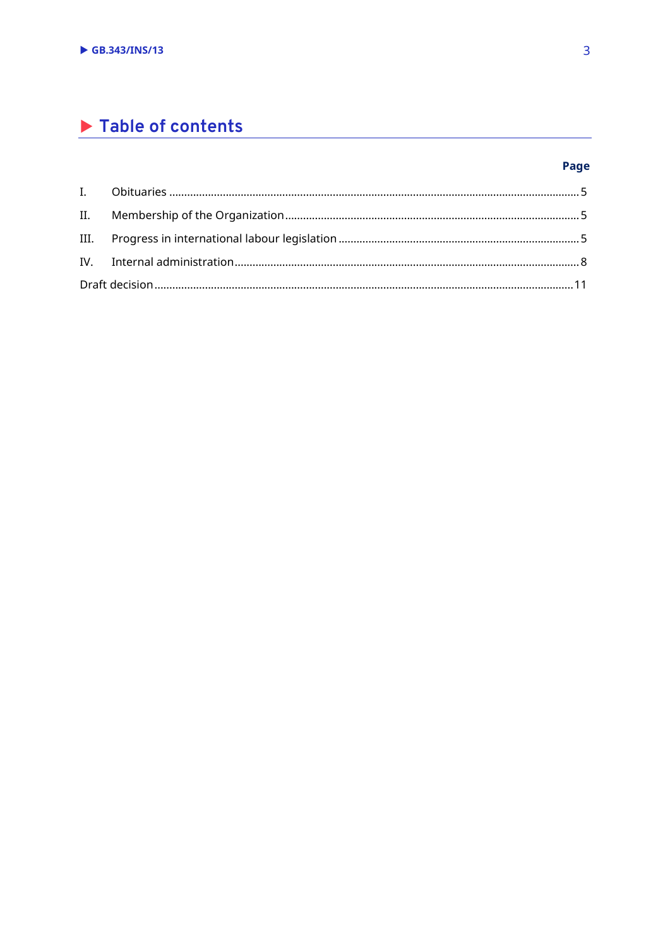## Table of contents

### Page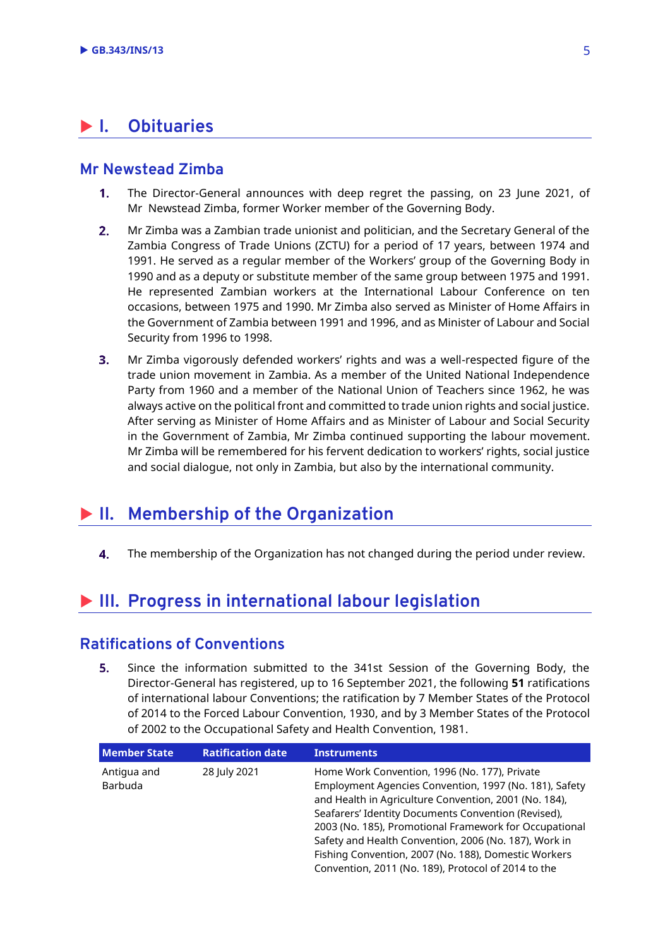### <span id="page-2-0"></span>**I. Obituaries**

### **Mr Newstead Zimba**

- $1<sub>1</sub>$ The Director-General announces with deep regret the passing, on 23 June 2021, of Mr Newstead Zimba, former Worker member of the Governing Body.
- $2.$ Mr Zimba was a Zambian trade unionist and politician, and the Secretary General of the Zambia Congress of Trade Unions (ZCTU) for a period of 17 years, between 1974 and 1991. He served as a regular member of the Workers' group of the Governing Body in 1990 and as a deputy or substitute member of the same group between 1975 and 1991. He represented Zambian workers at the International Labour Conference on ten occasions, between 1975 and 1990. Mr Zimba also served as Minister of Home Affairs in the Government of Zambia between 1991 and 1996, and as Minister of Labour and Social Security from 1996 to 1998.
- Mr Zimba vigorously defended workers' rights and was a well-respected figure of the  $3.$ trade union movement in Zambia. As a member of the United National Independence Party from 1960 and a member of the National Union of Teachers since 1962, he was always active on the political front and committed to trade union rights and social justice. After serving as Minister of Home Affairs and as Minister of Labour and Social Security in the Government of Zambia, Mr Zimba continued supporting the labour movement. Mr Zimba will be remembered for his fervent dedication to workers' rights, social justice and social dialogue, not only in Zambia, but also by the international community.

### <span id="page-2-1"></span>**II. Membership of the Organization**

4. The membership of the Organization has not changed during the period under review.

### <span id="page-2-2"></span>**III. Progress in international labour legislation**

### **Ratifications of Conventions**

5. Since the information submitted to the 341st Session of the Governing Body, the Director-General has registered, up to 16 September 2021, the following **51** ratifications of international labour Conventions; the ratification by 7 Member States of the Protocol of 2014 to the Forced Labour Convention, 1930, and by 3 Member States of the Protocol of 2002 to the Occupational Safety and Health Convention, 1981.

| <b>Member State</b>    | <b>Ratification date</b> | <b>Instruments</b>                                                                                                                                                                                                                                                                                                                                                                                                                                        |  |
|------------------------|--------------------------|-----------------------------------------------------------------------------------------------------------------------------------------------------------------------------------------------------------------------------------------------------------------------------------------------------------------------------------------------------------------------------------------------------------------------------------------------------------|--|
| Antigua and<br>Barbuda | 28 July 2021             | Home Work Convention, 1996 (No. 177), Private<br>Employment Agencies Convention, 1997 (No. 181), Safety<br>and Health in Agriculture Convention, 2001 (No. 184),<br>Seafarers' Identity Documents Convention (Revised),<br>2003 (No. 185), Promotional Framework for Occupational<br>Safety and Health Convention, 2006 (No. 187), Work in<br>Fishing Convention, 2007 (No. 188), Domestic Workers<br>Convention, 2011 (No. 189), Protocol of 2014 to the |  |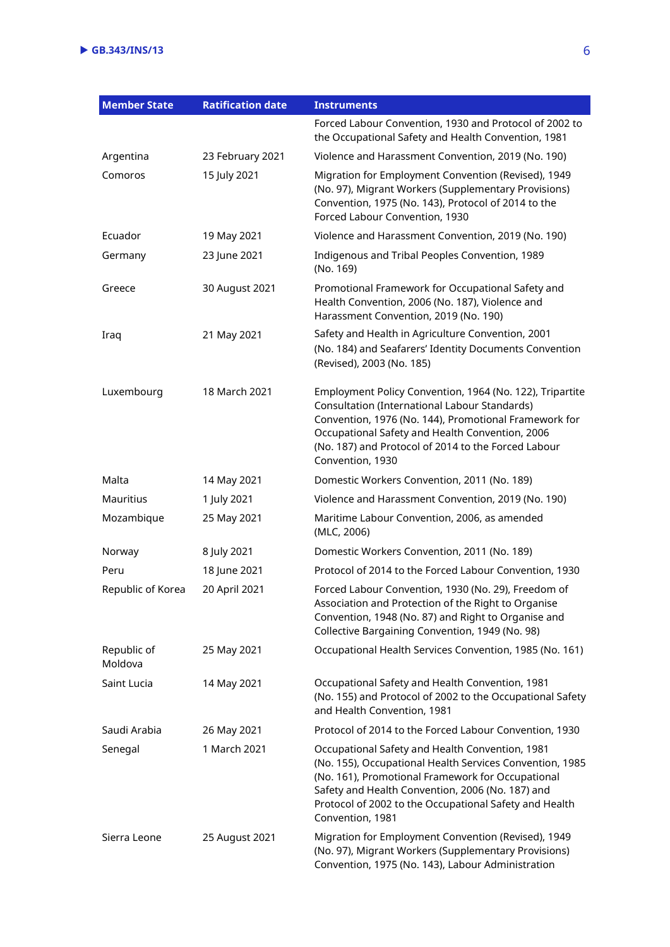| <b>Member State</b>    | <b>Ratification date</b> | <b>Instruments</b>                                                                                                                                                                                                                                                                                 |  |
|------------------------|--------------------------|----------------------------------------------------------------------------------------------------------------------------------------------------------------------------------------------------------------------------------------------------------------------------------------------------|--|
|                        |                          | Forced Labour Convention, 1930 and Protocol of 2002 to<br>the Occupational Safety and Health Convention, 1981                                                                                                                                                                                      |  |
| Argentina              | 23 February 2021         | Violence and Harassment Convention, 2019 (No. 190)                                                                                                                                                                                                                                                 |  |
| Comoros                | 15 July 2021             | Migration for Employment Convention (Revised), 1949<br>(No. 97), Migrant Workers (Supplementary Provisions)<br>Convention, 1975 (No. 143), Protocol of 2014 to the<br>Forced Labour Convention, 1930                                                                                               |  |
| Ecuador                | 19 May 2021              | Violence and Harassment Convention, 2019 (No. 190)                                                                                                                                                                                                                                                 |  |
| Germany                | 23 June 2021             | Indigenous and Tribal Peoples Convention, 1989<br>(No. 169)                                                                                                                                                                                                                                        |  |
| Greece                 | 30 August 2021           | Promotional Framework for Occupational Safety and<br>Health Convention, 2006 (No. 187), Violence and<br>Harassment Convention, 2019 (No. 190)                                                                                                                                                      |  |
| Iraq                   | 21 May 2021              | Safety and Health in Agriculture Convention, 2001<br>(No. 184) and Seafarers' Identity Documents Convention<br>(Revised), 2003 (No. 185)                                                                                                                                                           |  |
| Luxembourg             | 18 March 2021            | Employment Policy Convention, 1964 (No. 122), Tripartite<br>Consultation (International Labour Standards)<br>Convention, 1976 (No. 144), Promotional Framework for<br>Occupational Safety and Health Convention, 2006<br>(No. 187) and Protocol of 2014 to the Forced Labour<br>Convention, 1930   |  |
| Malta                  | 14 May 2021              | Domestic Workers Convention, 2011 (No. 189)                                                                                                                                                                                                                                                        |  |
| <b>Mauritius</b>       | 1 July 2021              | Violence and Harassment Convention, 2019 (No. 190)                                                                                                                                                                                                                                                 |  |
| Mozambique             | 25 May 2021              | Maritime Labour Convention, 2006, as amended<br>(MLC, 2006)                                                                                                                                                                                                                                        |  |
| Norway                 | 8 July 2021              | Domestic Workers Convention, 2011 (No. 189)                                                                                                                                                                                                                                                        |  |
| Peru                   | 18 June 2021             | Protocol of 2014 to the Forced Labour Convention, 1930                                                                                                                                                                                                                                             |  |
| Republic of Korea      | 20 April 2021            | Forced Labour Convention, 1930 (No. 29), Freedom of<br>Association and Protection of the Right to Organise<br>Convention, 1948 (No. 87) and Right to Organise and<br>Collective Bargaining Convention, 1949 (No. 98)                                                                               |  |
| Republic of<br>Moldova | 25 May 2021              | Occupational Health Services Convention, 1985 (No. 161)                                                                                                                                                                                                                                            |  |
| Saint Lucia            | 14 May 2021              | Occupational Safety and Health Convention, 1981<br>(No. 155) and Protocol of 2002 to the Occupational Safety<br>and Health Convention, 1981                                                                                                                                                        |  |
| Saudi Arabia           | 26 May 2021              | Protocol of 2014 to the Forced Labour Convention, 1930                                                                                                                                                                                                                                             |  |
| Senegal                | 1 March 2021             | Occupational Safety and Health Convention, 1981<br>(No. 155), Occupational Health Services Convention, 1985<br>(No. 161), Promotional Framework for Occupational<br>Safety and Health Convention, 2006 (No. 187) and<br>Protocol of 2002 to the Occupational Safety and Health<br>Convention, 1981 |  |
| Sierra Leone           | 25 August 2021           | Migration for Employment Convention (Revised), 1949<br>(No. 97), Migrant Workers (Supplementary Provisions)<br>Convention, 1975 (No. 143), Labour Administration                                                                                                                                   |  |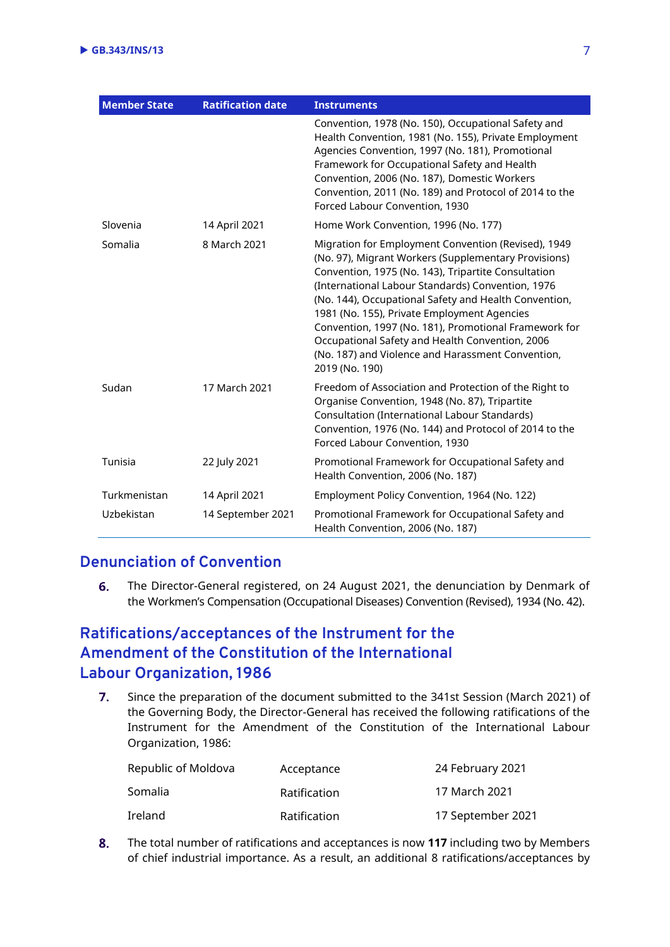| <b>Member State</b> | <b>Ratification date</b> | <b>Instruments</b>                                                                                                                                                                                                                                                                                                                                                                                                                                                                                                 |  |  |
|---------------------|--------------------------|--------------------------------------------------------------------------------------------------------------------------------------------------------------------------------------------------------------------------------------------------------------------------------------------------------------------------------------------------------------------------------------------------------------------------------------------------------------------------------------------------------------------|--|--|
|                     |                          | Convention, 1978 (No. 150), Occupational Safety and<br>Health Convention, 1981 (No. 155), Private Employment<br>Agencies Convention, 1997 (No. 181), Promotional<br>Framework for Occupational Safety and Health<br>Convention, 2006 (No. 187), Domestic Workers<br>Convention, 2011 (No. 189) and Protocol of 2014 to the<br>Forced Labour Convention, 1930                                                                                                                                                       |  |  |
| Slovenia            | 14 April 2021            | Home Work Convention, 1996 (No. 177)                                                                                                                                                                                                                                                                                                                                                                                                                                                                               |  |  |
| Somalia             | 8 March 2021             | Migration for Employment Convention (Revised), 1949<br>(No. 97), Migrant Workers (Supplementary Provisions)<br>Convention, 1975 (No. 143), Tripartite Consultation<br>(International Labour Standards) Convention, 1976<br>(No. 144), Occupational Safety and Health Convention,<br>1981 (No. 155), Private Employment Agencies<br>Convention, 1997 (No. 181), Promotional Framework for<br>Occupational Safety and Health Convention, 2006<br>(No. 187) and Violence and Harassment Convention,<br>2019 (No. 190) |  |  |
| Sudan               | 17 March 2021            | Freedom of Association and Protection of the Right to<br>Organise Convention, 1948 (No. 87), Tripartite<br>Consultation (International Labour Standards)<br>Convention, 1976 (No. 144) and Protocol of 2014 to the<br>Forced Labour Convention, 1930                                                                                                                                                                                                                                                               |  |  |
| Tunisia             | 22 July 2021             | Promotional Framework for Occupational Safety and<br>Health Convention, 2006 (No. 187)                                                                                                                                                                                                                                                                                                                                                                                                                             |  |  |
| Turkmenistan        | 14 April 2021            | Employment Policy Convention, 1964 (No. 122)                                                                                                                                                                                                                                                                                                                                                                                                                                                                       |  |  |
| Uzbekistan          | 14 September 2021        | Promotional Framework for Occupational Safety and<br>Health Convention, 2006 (No. 187)                                                                                                                                                                                                                                                                                                                                                                                                                             |  |  |

### **Denunciation of Convention**

6. The Director-General registered, on 24 August 2021, the denunciation by Denmark of the Workmen's Compensation (Occupational Diseases) Convention (Revised), 1934 (No. 42).

### **Ratifications/acceptances of the Instrument for the Amendment of the Constitution of the International Labour Organization, 1986**

 $7.$ Since the preparation of the document submitted to the 341st Session (March 2021) of the Governing Body, the Director-General has received the following ratifications of the Instrument for the Amendment of the Constitution of the International Labour Organization, 1986:

| Republic of Moldova | Acceptance   | 24 February 2021  |
|---------------------|--------------|-------------------|
| Somalia             | Ratification | 17 March 2021     |
| Ireland             | Ratification | 17 September 2021 |

The total number of ratifications and acceptances is now **117** including two by Members 8. of chief industrial importance. As a result, an additional 8 ratifications/acceptances by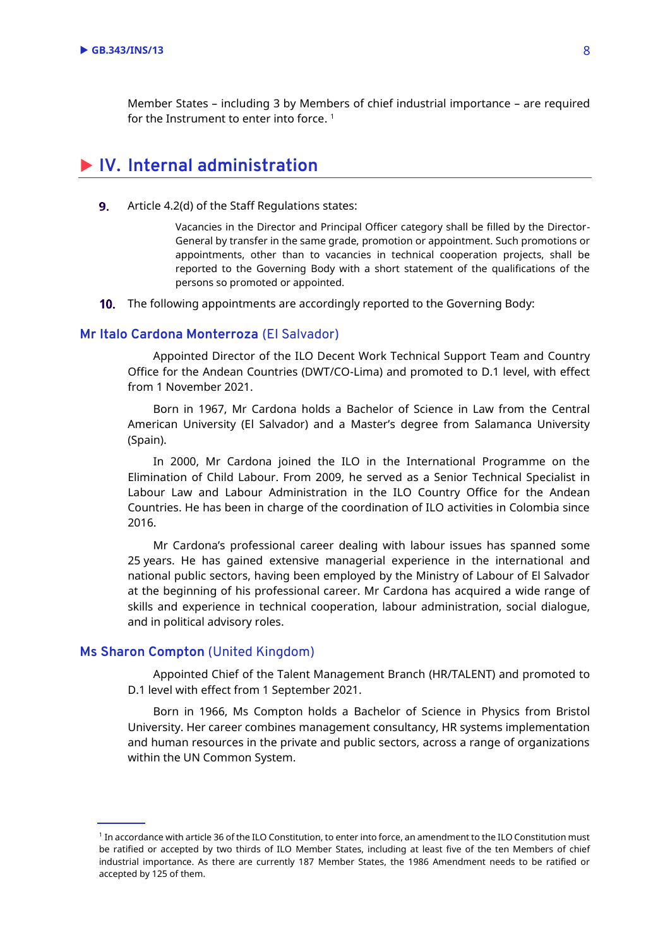Member States – including 3 by Members of chief industrial importance – are required for the Instrument to enter into force.  $^{\rm 1}$ 

### <span id="page-5-0"></span>**IV. Internal administration**

 $9<sub>1</sub>$ Article 4.2(d) of the Staff Regulations states:

> Vacancies in the Director and Principal Officer category shall be filled by the Director-General by transfer in the same grade, promotion or appointment. Such promotions or appointments, other than to vacancies in technical cooperation projects, shall be reported to the Governing Body with a short statement of the qualifications of the persons so promoted or appointed.

10. The following appointments are accordingly reported to the Governing Body:

#### **Mr Italo Cardona Monterroza** (El Salvador)

Appointed Director of the ILO Decent Work Technical Support Team and Country Office for the Andean Countries (DWT/CO-Lima) and promoted to D.1 level, with effect from 1 November 2021.

Born in 1967, Mr Cardona holds a Bachelor of Science in Law from the Central American University (El Salvador) and a Master's degree from Salamanca University (Spain).

In 2000, Mr Cardona joined the ILO in the International Programme on the Elimination of Child Labour. From 2009, he served as a Senior Technical Specialist in Labour Law and Labour Administration in the ILO Country Office for the Andean Countries. He has been in charge of the coordination of ILO activities in Colombia since 2016.

Mr Cardona's professional career dealing with labour issues has spanned some 25 years. He has gained extensive managerial experience in the international and national public sectors, having been employed by the Ministry of Labour of El Salvador at the beginning of his professional career. Mr Cardona has acquired a wide range of skills and experience in technical cooperation, labour administration, social dialogue, and in political advisory roles.

#### **Ms Sharon Compton** (United Kingdom)

Appointed Chief of the Talent Management Branch (HR/TALENT) and promoted to D.1 level with effect from 1 September 2021.

Born in 1966, Ms Compton holds a Bachelor of Science in Physics from Bristol University. Her career combines management consultancy, HR systems implementation and human resources in the private and public sectors, across a range of organizations within the UN Common System.

<sup>1</sup> In accordance with article 36 of the ILO Constitution, to enter into force, an amendment to the ILO Constitution must be ratified or accepted by two thirds of ILO Member States, including at least five of the ten Members of chief industrial importance. As there are currently 187 Member States, the 1986 Amendment needs to be ratified or accepted by 125 of them.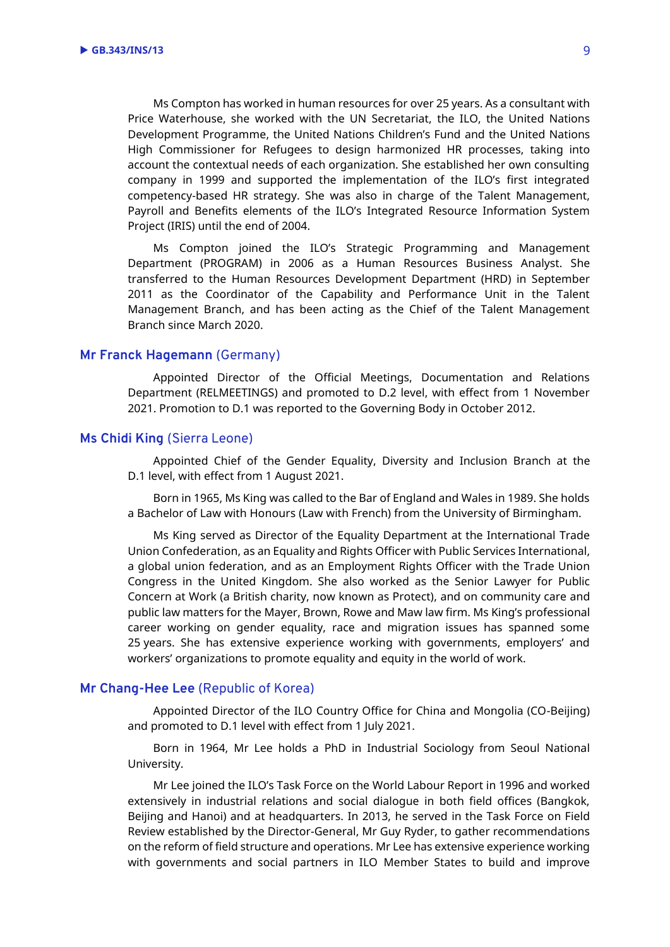Ms Compton has worked in human resources for over 25 years. As a consultant with Price Waterhouse, she worked with the UN Secretariat, the ILO, the United Nations Development Programme, the United Nations Children's Fund and the United Nations High Commissioner for Refugees to design harmonized HR processes, taking into account the contextual needs of each organization. She established her own consulting company in 1999 and supported the implementation of the ILO's first integrated competency-based HR strategy. She was also in charge of the Talent Management, Payroll and Benefits elements of the ILO's Integrated Resource Information System Project (IRIS) until the end of 2004.

Ms Compton joined the ILO's Strategic Programming and Management Department (PROGRAM) in 2006 as a Human Resources Business Analyst. She transferred to the Human Resources Development Department (HRD) in September 2011 as the Coordinator of the Capability and Performance Unit in the Talent Management Branch, and has been acting as the Chief of the Talent Management Branch since March 2020.

#### **Mr Franck Hagemann** (Germany)

Appointed Director of the Official Meetings, Documentation and Relations Department (RELMEETINGS) and promoted to D.2 level, with effect from 1 November 2021. Promotion to D.1 was reported to the Governing Body in October 2012.

#### **Ms Chidi King** (Sierra Leone)

Appointed Chief of the Gender Equality, Diversity and Inclusion Branch at the D.1 level, with effect from 1 August 2021.

Born in 1965, Ms King was called to the Bar of England and Wales in 1989. She holds a Bachelor of Law with Honours (Law with French) from the University of Birmingham.

Ms King served as Director of the Equality Department at the International Trade Union Confederation, as an Equality and Rights Officer with Public Services International, a global union federation, and as an Employment Rights Officer with the Trade Union Congress in the United Kingdom. She also worked as the Senior Lawyer for Public Concern at Work (a British charity, now known as Protect), and on community care and public law matters for the Mayer, Brown, Rowe and Maw law firm. Ms King's professional career working on gender equality, race and migration issues has spanned some 25 years. She has extensive experience working with governments, employers' and workers' organizations to promote equality and equity in the world of work.

#### **Mr Chang-Hee Lee** (Republic of Korea)

Appointed Director of the ILO Country Office for China and Mongolia (CO-Beijing) and promoted to D.1 level with effect from 1 July 2021.

Born in 1964, Mr Lee holds a PhD in Industrial Sociology from Seoul National University.

Mr Lee joined the ILO's Task Force on the World Labour Report in 1996 and worked extensively in industrial relations and social dialogue in both field offices (Bangkok, Beijing and Hanoi) and at headquarters. In 2013, he served in the Task Force on Field Review established by the Director-General, Mr Guy Ryder, to gather recommendations on the reform of field structure and operations. Mr Lee has extensive experience working with governments and social partners in ILO Member States to build and improve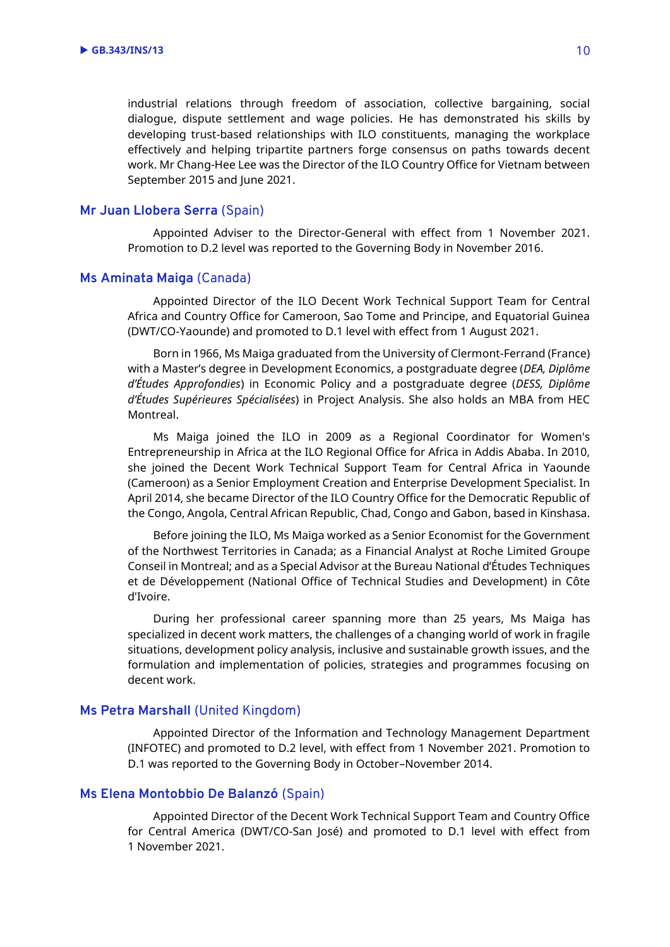industrial relations through freedom of association, collective bargaining, social dialogue, dispute settlement and wage policies. He has demonstrated his skills by developing trust-based relationships with ILO constituents, managing the workplace effectively and helping tripartite partners forge consensus on paths towards decent work. Mr Chang-Hee Lee was the Director of the ILO Country Office for Vietnam between September 2015 and June 2021.

#### **Mr Juan Llobera Serra** (Spain)

Appointed Adviser to the Director-General with effect from 1 November 2021. Promotion to D.2 level was reported to the Governing Body in November 2016.

#### **Ms Aminata Maiga** (Canada)

Appointed Director of the ILO Decent Work Technical Support Team for Central Africa and Country Office for Cameroon, Sao Tome and Principe, and Equatorial Guinea (DWT/CO-Yaounde) and promoted to D.1 level with effect from 1 August 2021.

Born in 1966, Ms Maiga graduated from the University of Clermont-Ferrand (France) with a Master's degree in Development Economics, a postgraduate degree (*DEA, Diplôme d'Études Approfondies*) in Economic Policy and a postgraduate degree (*DESS, Diplôme d'Études Supérieures Spécialisées*) in Project Analysis. She also holds an MBA from HEC Montreal.

Ms Maiga joined the ILO in 2009 as a Regional Coordinator for Women's Entrepreneurship in Africa at the ILO Regional Office for Africa in Addis Ababa. In 2010, she joined the Decent Work Technical Support Team for Central Africa in Yaounde (Cameroon) as a Senior Employment Creation and Enterprise Development Specialist. In April 2014, she became Director of the ILO Country Office for the Democratic Republic of the Congo, Angola, Central African Republic, Chad, Congo and Gabon, based in Kinshasa.

Before joining the ILO, Ms Maiga worked as a Senior Economist for the Government of the Northwest Territories in Canada; as a Financial Analyst at Roche Limited Groupe Conseil in Montreal; and as a Special Advisor at the Bureau National d'Études Techniques et de Développement (National Office of Technical Studies and Development) in Côte d'Ivoire.

During her professional career spanning more than 25 years, Ms Maiga has specialized in decent work matters, the challenges of a changing world of work in fragile situations, development policy analysis, inclusive and sustainable growth issues, and the formulation and implementation of policies, strategies and programmes focusing on decent work.

#### **Ms Petra Marshall** (United Kingdom)

Appointed Director of the Information and Technology Management Department (INFOTEC) and promoted to D.2 level, with effect from 1 November 2021. Promotion to D.1 was reported to the Governing Body in October–November 2014.

### **Ms Elena Montobbio De Balanzó** (Spain)

Appointed Director of the Decent Work Technical Support Team and Country Office for Central America (DWT/CO-San José) and promoted to D.1 level with effect from 1 November 2021.